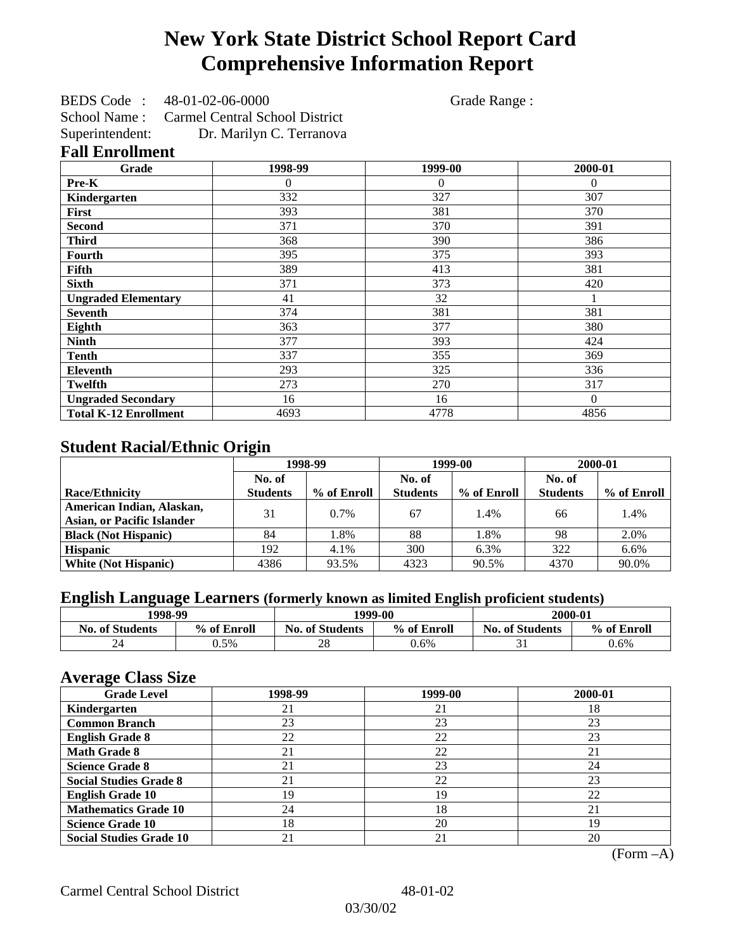# **New York State District School Report Card Comprehensive Information Report**

BEDS Code : 48-01-02-06-0000 Grade Range : School Name : Carmel Central School District Superintendent: Dr. Marilyn C. Terranova

### **Fall Enrollment**

| Grade                        | 1998-99  | 1999-00  | 2000-01  |
|------------------------------|----------|----------|----------|
| Pre-K                        | $\theta$ | $\Omega$ | $\Omega$ |
| Kindergarten                 | 332      | 327      | 307      |
| <b>First</b>                 | 393      | 381      | 370      |
| <b>Second</b>                | 371      | 370      | 391      |
| <b>Third</b>                 | 368      | 390      | 386      |
| Fourth                       | 395      | 375      | 393      |
| Fifth                        | 389      | 413      | 381      |
| <b>Sixth</b>                 | 371      | 373      | 420      |
| <b>Ungraded Elementary</b>   | 41       | 32       |          |
| <b>Seventh</b>               | 374      | 381      | 381      |
| Eighth                       | 363      | 377      | 380      |
| <b>Ninth</b>                 | 377      | 393      | 424      |
| <b>Tenth</b>                 | 337      | 355      | 369      |
| <b>Eleventh</b>              | 293      | 325      | 336      |
| <b>Twelfth</b>               | 273      | 270      | 317      |
| <b>Ungraded Secondary</b>    | 16       | 16       | $\Omega$ |
| <b>Total K-12 Enrollment</b> | 4693     | 4778     | 4856     |

## **Student Racial/Ethnic Origin**

|                                   | 1998-99         |             |                 | 1999-00     | 2000-01         |             |
|-----------------------------------|-----------------|-------------|-----------------|-------------|-----------------|-------------|
|                                   | No. of          |             | No. of          |             | No. of          |             |
| <b>Race/Ethnicity</b>             | <b>Students</b> | % of Enroll | <b>Students</b> | % of Enroll | <b>Students</b> | % of Enroll |
| American Indian, Alaskan,         | 31              | $0.7\%$     | 67              | 1.4%        | 66              | 1.4%        |
| <b>Asian, or Pacific Islander</b> |                 |             |                 |             |                 |             |
| <b>Black (Not Hispanic)</b>       | 84              | 1.8%        | 88              | 1.8%        | 98              | 2.0%        |
| <b>Hispanic</b>                   | 192             | 4.1%        | 300             | 6.3%        | 322             | 6.6%        |
| <b>White (Not Hispanic)</b>       | 4386            | 93.5%       | 4323            | 90.5%       | 4370            | 90.0%       |

## **English Language Learners (formerly known as limited English proficient students)**

| 1998-99                |             |                                       | 1999-00 | 2000-01                |             |  |
|------------------------|-------------|---------------------------------------|---------|------------------------|-------------|--|
| <b>No. of Students</b> | % of Enroll | % of Enroll<br><b>No. of Students</b> |         | <b>No. of Students</b> | % of Enroll |  |
| $\mathcal{L}$          | $0.5\%$     | 28                                    | 0.6%    |                        | 0.6%        |  |

### **Average Class Size**

| <u>ືຕ</u><br><b>Grade Level</b> | 1998-99 | 1999-00 | 2000-01 |
|---------------------------------|---------|---------|---------|
| Kindergarten                    | 21      | 21      | 18      |
| <b>Common Branch</b>            | 23      | 23      | 23      |
| <b>English Grade 8</b>          | 22      | 22      | 23      |
| <b>Math Grade 8</b>             | 21      | 22      | 21      |
| <b>Science Grade 8</b>          | 21      | 23      | 24      |
| <b>Social Studies Grade 8</b>   | 21      | 22      | 23      |
| <b>English Grade 10</b>         | 19      | 19      | 22      |
| <b>Mathematics Grade 10</b>     | 24      | 18      | 21      |
| <b>Science Grade 10</b>         | 18      | 20      | 19      |
| <b>Social Studies Grade 10</b>  | 21      | 21      | 20      |

(Form –A)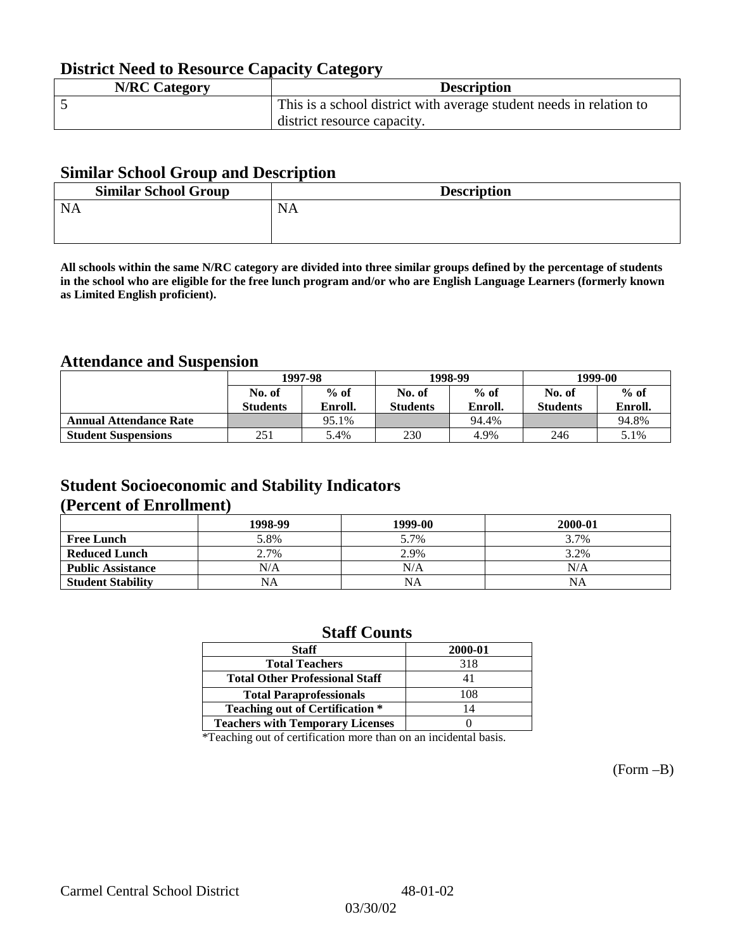## **District Need to Resource Capacity Category**

| <b>N/RC Category</b> | <b>Description</b>                                                  |
|----------------------|---------------------------------------------------------------------|
|                      | This is a school district with average student needs in relation to |
|                      | district resource capacity.                                         |

### **Similar School Group and Description**

| <b>Similar School Group</b> | <b>Description</b> |
|-----------------------------|--------------------|
| <b>NA</b>                   | <b>NA</b>          |

**All schools within the same N/RC category are divided into three similar groups defined by the percentage of students in the school who are eligible for the free lunch program and/or who are English Language Learners (formerly known as Limited English proficient).**

## **Attendance and Suspension**

|                               | 1997-98         |         |                 | 1998-99 | 1999-00         |         |
|-------------------------------|-----------------|---------|-----------------|---------|-----------------|---------|
|                               | No. of          | $%$ of  | No. of          | $%$ of  | No. of          | $%$ of  |
|                               | <b>Students</b> | Enroll. | <b>Students</b> | Enroll. | <b>Students</b> | Enroll. |
| <b>Annual Attendance Rate</b> |                 | 95.1%   |                 | 94.4%   |                 | 94.8%   |
| <b>Student Suspensions</b>    | 251             | 5.4%    | 230             | 4.9%    | 246             | 5.1%    |

### **Student Socioeconomic and Stability Indicators (Percent of Enrollment)**

|                          | 1998-99 | 1999-00   | 2000-01 |
|--------------------------|---------|-----------|---------|
| <b>Free Lunch</b>        | 5.8%    | 5.7%      | 3.7%    |
| <b>Reduced Lunch</b>     | 2.7%    | 2.9%      | 3.2%    |
| <b>Public Assistance</b> | N/A     | N/A       | N/A     |
| <b>Student Stability</b> | NA      | <b>NA</b> | NA      |

### **Staff Counts**

\*Teaching out of certification more than on an incidental basis.

(Form –B)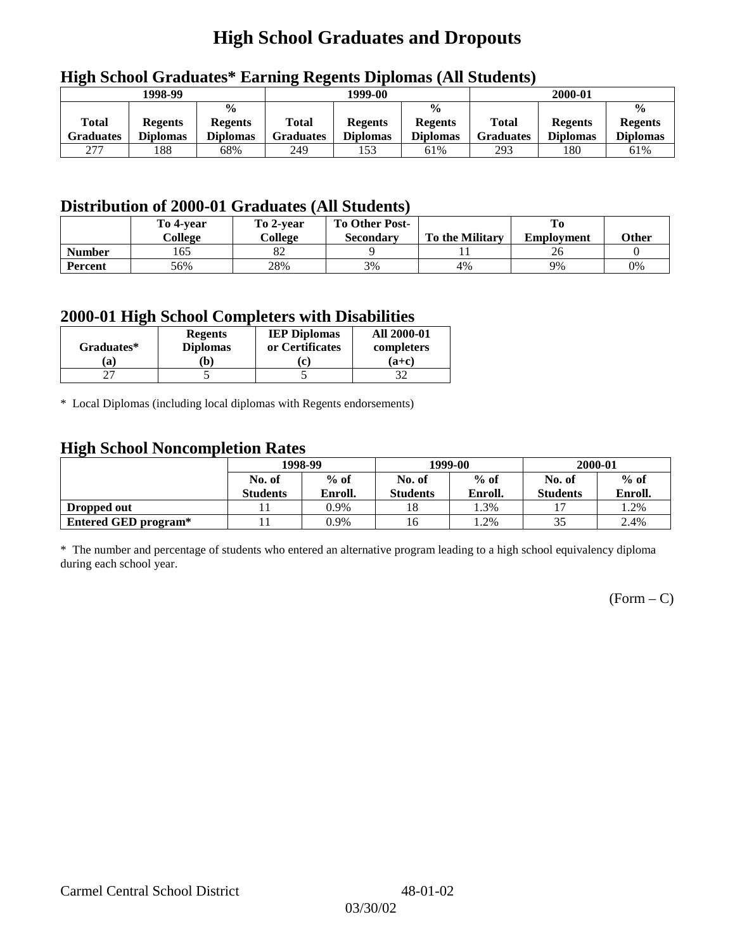# **High School Graduates and Dropouts**

|                           | 1998-99                           |                                                    | 1999-00                   |                                   |                                                    | 2000-01                          |                                   |                                                    |
|---------------------------|-----------------------------------|----------------------------------------------------|---------------------------|-----------------------------------|----------------------------------------------------|----------------------------------|-----------------------------------|----------------------------------------------------|
| <b>Total</b><br>Graduates | <b>Regents</b><br><b>Diplomas</b> | $\frac{0}{0}$<br><b>Regents</b><br><b>Diplomas</b> | Total<br><b>Graduates</b> | <b>Regents</b><br><b>Diplomas</b> | $\frac{6}{6}$<br><b>Regents</b><br><b>Diplomas</b> | <b>Total</b><br><b>Graduates</b> | <b>Regents</b><br><b>Diplomas</b> | $\frac{0}{0}$<br><b>Regents</b><br><b>Diplomas</b> |
| 277                       | 188                               | 68%                                                | 249                       | 153                               | 61%                                                | 293                              | 180                               | 61%                                                |

## **High School Graduates\* Earning Regents Diplomas (All Students)**

## **Distribution of 2000-01 Graduates (All Students)**

|                | To 4-vear<br>College | To 2-year<br>College | <b>To Other Post-</b><br><b>Secondary</b> | <b>To the Military</b> | <b>Employment</b> | Other |
|----------------|----------------------|----------------------|-------------------------------------------|------------------------|-------------------|-------|
| <b>Number</b>  | 165                  | $\circ$<br>δŹ        |                                           |                        | Zb                |       |
| <b>Percent</b> | 56%                  | 28%                  | 3%                                        | 4%                     | 9%                | 0%    |

### **2000-01 High School Completers with Disabilities**

| Graduates* | <b>Regents</b><br><b>Diplomas</b> | <b>IEP Diplomas</b><br>or Certificates | <b>All 2000-01</b><br>completers |
|------------|-----------------------------------|----------------------------------------|----------------------------------|
| a          | b)                                | (c)                                    | $(a+c)$                          |
|            |                                   |                                        |                                  |

\* Local Diplomas (including local diplomas with Regents endorsements)

### **High School Noncompletion Rates**

| ັ                           | 1998-99         |         |                 | 1999-00 | 2000-01         |         |
|-----------------------------|-----------------|---------|-----------------|---------|-----------------|---------|
|                             | No. of          | $%$ of  | No. of          | $%$ of  | No. of          | $%$ of  |
|                             | <b>Students</b> | Enroll. | <b>Students</b> | Enroll. | <b>Students</b> | Enroll. |
| Dropped out                 |                 | 0.9%    | 18              | 1.3%    |                 | 1.2%    |
| <b>Entered GED program*</b> |                 | 0.9%    | 16              | 1.2%    |                 | 2.4%    |

\* The number and percentage of students who entered an alternative program leading to a high school equivalency diploma during each school year.

 $(Form - C)$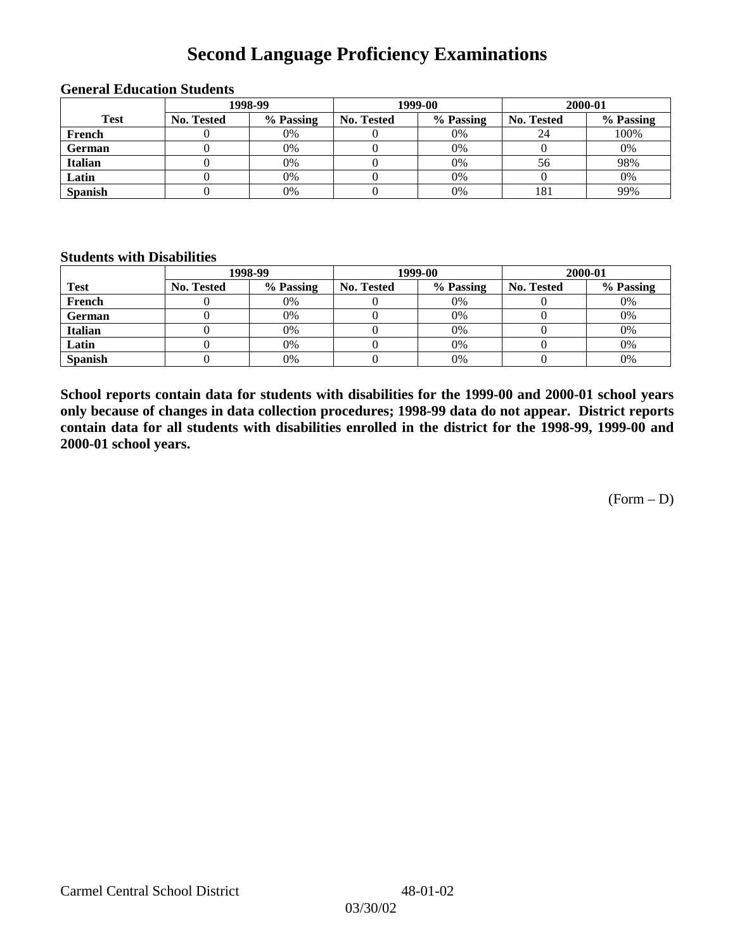# **Second Language Proficiency Examinations**

|                | 1998-99    |           |                   | 1999-00   | 2000-01    |           |  |
|----------------|------------|-----------|-------------------|-----------|------------|-----------|--|
| <b>Test</b>    | No. Tested | % Passing | <b>No. Tested</b> | % Passing | No. Tested | % Passing |  |
| French         |            | 0%        |                   | 0%        | 24         | 100%      |  |
| <b>German</b>  |            | 0%        |                   | 0%        |            | 0%        |  |
| <b>Italian</b> |            | 0%        |                   | 0%        | 56         | 98%       |  |
| Latin          |            | 0%        |                   | 0%        |            | 0%        |  |
| <b>Spanish</b> |            | 0%        |                   | 0%        | 181        | 99%       |  |

#### **General Education Students**

### **Students with Disabilities**

|                | 1998-99    |           |                   | 1999-00   | 2000-01           |           |  |
|----------------|------------|-----------|-------------------|-----------|-------------------|-----------|--|
| <b>Test</b>    | No. Tested | % Passing | <b>No. Tested</b> | % Passing | <b>No. Tested</b> | % Passing |  |
| French         |            | $0\%$     |                   | 0%        |                   | 0%        |  |
| German         |            | 0%        |                   | 0%        |                   | 0%        |  |
| <b>Italian</b> |            | 0%        |                   | 0%        |                   | 0%        |  |
| Latin          |            | 0%        |                   | 0%        |                   | 0%        |  |
| <b>Spanish</b> |            | 0%        |                   | 0%        |                   | 0%        |  |

**School reports contain data for students with disabilities for the 1999-00 and 2000-01 school years only because of changes in data collection procedures; 1998-99 data do not appear. District reports contain data for all students with disabilities enrolled in the district for the 1998-99, 1999-00 and 2000-01 school years.**

(Form – D)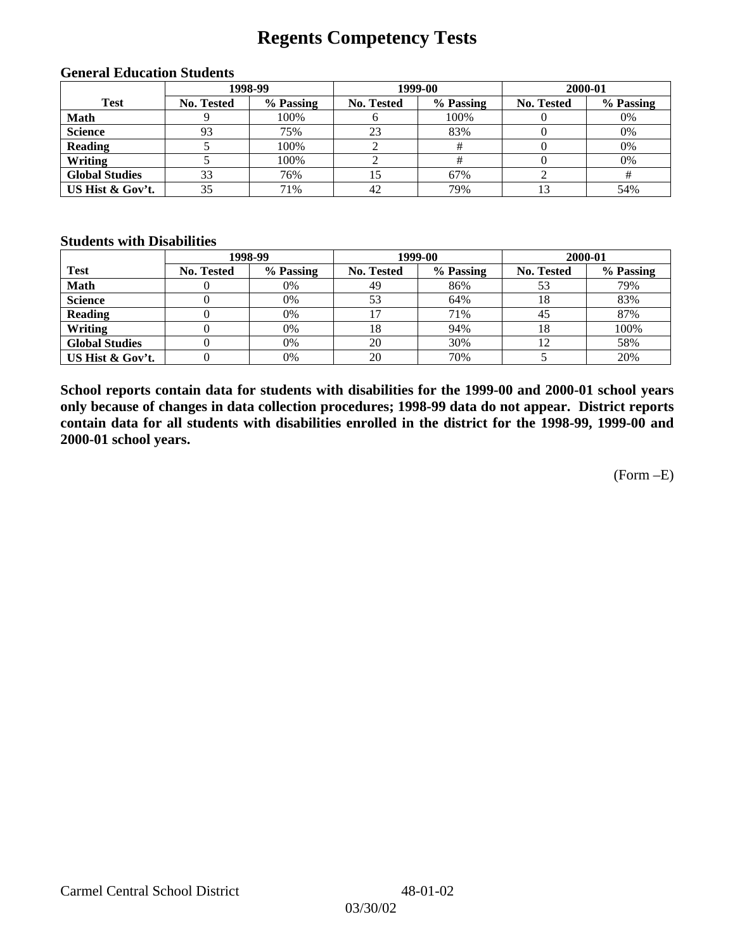## **Regents Competency Tests**

|                       |                   | 1998-99   |            | 1999-00   | 2000-01           |           |  |
|-----------------------|-------------------|-----------|------------|-----------|-------------------|-----------|--|
| <b>Test</b>           | <b>No. Tested</b> | % Passing | No. Tested | % Passing | <b>No. Tested</b> | % Passing |  |
| <b>Math</b>           |                   | 100%      | О          | 100%      |                   | 0%        |  |
| <b>Science</b>        | 93                | 75%       | 23         | 83%       |                   | 0%        |  |
| <b>Reading</b>        |                   | 100%      |            |           |                   | 0%        |  |
| Writing               |                   | 100%      |            |           |                   | 0%        |  |
| <b>Global Studies</b> | 33                | 76%       | 15         | 67%       |                   |           |  |
| US Hist & Gov't.      | 35                | 71%       | 42         | 79%       |                   | 54%       |  |

#### **General Education Students**

### **Students with Disabilities**

|                       |                   | 1998-99   | 1999-00           |           | 2000-01           |           |
|-----------------------|-------------------|-----------|-------------------|-----------|-------------------|-----------|
| <b>Test</b>           | <b>No. Tested</b> | % Passing | <b>No. Tested</b> | % Passing | <b>No. Tested</b> | % Passing |
| <b>Math</b>           |                   | 0%        | 49                | 86%       | 53                | 79%       |
| <b>Science</b>        |                   | 0%        | 53                | 64%       |                   | 83%       |
| <b>Reading</b>        |                   | 0%        |                   | 71%       | 45                | 87%       |
| Writing               |                   | $0\%$     | 18                | 94%       | 18                | 100%      |
| <b>Global Studies</b> |                   | 0%        | 20                | 30%       | 12                | 58%       |
| US Hist & Gov't.      |                   | 0%        | 20                | 70%       |                   | 20%       |

**School reports contain data for students with disabilities for the 1999-00 and 2000-01 school years only because of changes in data collection procedures; 1998-99 data do not appear. District reports contain data for all students with disabilities enrolled in the district for the 1998-99, 1999-00 and 2000-01 school years.**

(Form –E)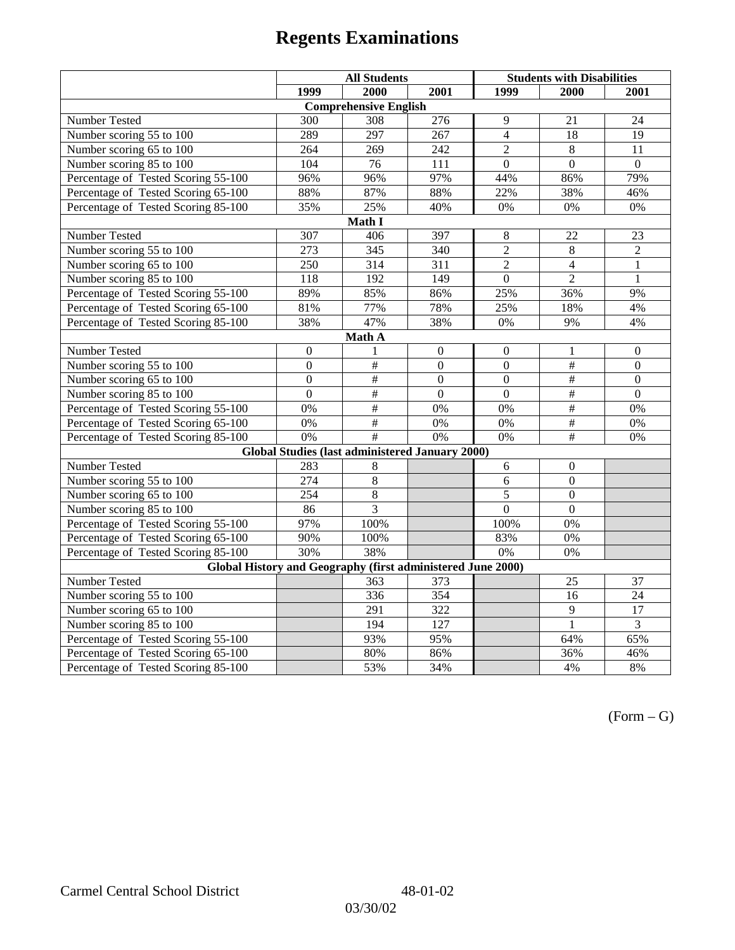|                                                             | <b>All Students</b> |                                                 |                  | <b>Students with Disabilities</b> |                           |                  |  |  |
|-------------------------------------------------------------|---------------------|-------------------------------------------------|------------------|-----------------------------------|---------------------------|------------------|--|--|
|                                                             | 1999                | 2000                                            | 2001             | 1999                              | 2000                      | 2001             |  |  |
|                                                             |                     | <b>Comprehensive English</b>                    |                  |                                   |                           |                  |  |  |
| Number Tested                                               | 300                 | 308                                             | 276              | 9                                 | 21                        | 24               |  |  |
| Number scoring $55 \overline{\text{to } 100}$               | 289                 | 297                                             | 267              | $\overline{4}$                    | 18                        | 19               |  |  |
| Number scoring 65 to 100                                    | 264                 | 269                                             | 242              | $\overline{2}$                    | $\overline{8}$            | $\overline{11}$  |  |  |
| Number scoring 85 to 100                                    | 104                 | 76                                              | 111              | $\Omega$                          | $\Omega$                  | $\Omega$         |  |  |
| Percentage of Tested Scoring 55-100                         | 96%                 | 96%                                             | 97%              | 44%                               | 86%                       | 79%              |  |  |
| Percentage of Tested Scoring 65-100                         | 88%                 | 87%                                             | 88%              | 22%                               | 38%                       | 46%              |  |  |
| Percentage of Tested Scoring 85-100                         | 35%                 | 25%                                             | 40%              | $0\%$                             | 0%                        | $0\%$            |  |  |
|                                                             |                     | Math I                                          |                  |                                   |                           |                  |  |  |
| Number Tested                                               | 307                 | 406                                             | 397              | 8                                 | 22                        | 23               |  |  |
| Number scoring 55 to 100                                    | 273                 | 345                                             | 340              | $\overline{2}$                    | 8                         | $\overline{2}$   |  |  |
| Number scoring 65 to 100                                    | 250                 | 314                                             | 311              | $\overline{2}$                    | 4                         | $\mathbf{1}$     |  |  |
| Number scoring 85 to 100                                    | 118                 | 192                                             | 149              | $\overline{0}$                    | $\overline{2}$            | $\mathbf{1}$     |  |  |
| Percentage of Tested Scoring 55-100                         | 89%                 | 85%                                             | 86%              | 25%                               | 36%                       | 9%               |  |  |
| Percentage of Tested Scoring 65-100                         | 81%                 | 77%                                             | 78%              | 25%                               | 18%                       | 4%               |  |  |
| Percentage of Tested Scoring 85-100                         | 38%                 | 47%                                             | 38%              | $0\%$                             | 9%                        | 4%               |  |  |
| Math A                                                      |                     |                                                 |                  |                                   |                           |                  |  |  |
| Number Tested                                               | $\boldsymbol{0}$    | 1                                               | $\boldsymbol{0}$ | $\boldsymbol{0}$                  | 1                         | $\boldsymbol{0}$ |  |  |
| Number scoring 55 to 100                                    | $\boldsymbol{0}$    | $\overline{\#}$                                 | $\overline{0}$   | $\overline{0}$                    | $\overline{\#}$           | $\boldsymbol{0}$ |  |  |
| Number scoring 65 to 100                                    | $\mathbf{0}$        | $\#$                                            | $\mathbf{0}$     | $\overline{0}$                    | $\overline{\overline{t}}$ | $\boldsymbol{0}$ |  |  |
| Number scoring 85 to 100                                    | $\overline{0}$      | $\overline{\#}$                                 | $\mathbf{0}$     | $\mathbf{0}$                      | $\overline{\#}$           | $\mathbf{0}$     |  |  |
| Percentage of Tested Scoring 55-100                         | 0%                  | $\overline{\#}$                                 | 0%               | 0%                                | #                         | 0%               |  |  |
| Percentage of Tested Scoring 65-100                         | 0%                  | $\overline{\#}$                                 | 0%               | 0%                                | #                         | 0%               |  |  |
| Percentage of Tested Scoring 85-100                         | 0%                  | $\#$                                            | 0%               | 0%                                | $\#$                      | 0%               |  |  |
|                                                             |                     | Global Studies (last administered January 2000) |                  |                                   |                           |                  |  |  |
| Number Tested                                               | 283                 | 8                                               |                  | 6                                 | $\mathbf{0}$              |                  |  |  |
| Number scoring 55 to 100                                    | 274                 | 8                                               |                  | 6                                 | $\overline{0}$            |                  |  |  |
| Number scoring 65 to 100                                    | 254                 | $\overline{8}$                                  |                  | 5                                 | $\overline{0}$            |                  |  |  |
| Number scoring 85 to 100                                    | 86                  | 3                                               |                  | $\overline{0}$                    | $\overline{0}$            |                  |  |  |
| Percentage of Tested Scoring 55-100                         | 97%                 | 100%                                            |                  | 100%                              | 0%                        |                  |  |  |
| Percentage of Tested Scoring 65-100                         | 90%                 | 100%                                            |                  | 83%                               | 0%                        |                  |  |  |
| Percentage of Tested Scoring 85-100                         | 30%                 | 38%                                             |                  | 0%                                | 0%                        |                  |  |  |
| Global History and Geography (first administered June 2000) |                     |                                                 |                  |                                   |                           |                  |  |  |
| Number Tested                                               |                     | 363                                             | 373              |                                   | 25                        | 37               |  |  |
| Number scoring 55 to 100                                    |                     | 336                                             | 354              |                                   | 16                        | 24               |  |  |
| Number scoring 65 to 100                                    |                     | 291                                             | 322              |                                   | $\overline{9}$            | $\overline{17}$  |  |  |
| Number scoring 85 to 100                                    |                     | 194                                             | 127              |                                   | 1                         | $\overline{3}$   |  |  |
| Percentage of Tested Scoring 55-100                         |                     | 93%                                             | 95%              |                                   | 64%                       | 65%              |  |  |
| Percentage of Tested Scoring 65-100                         |                     | 80%                                             | 86%              |                                   | 36%                       | 46%              |  |  |
| Percentage of Tested Scoring 85-100                         |                     | 53%                                             | 34%              |                                   | 4%                        | $8\%$            |  |  |

 $(Form - G)$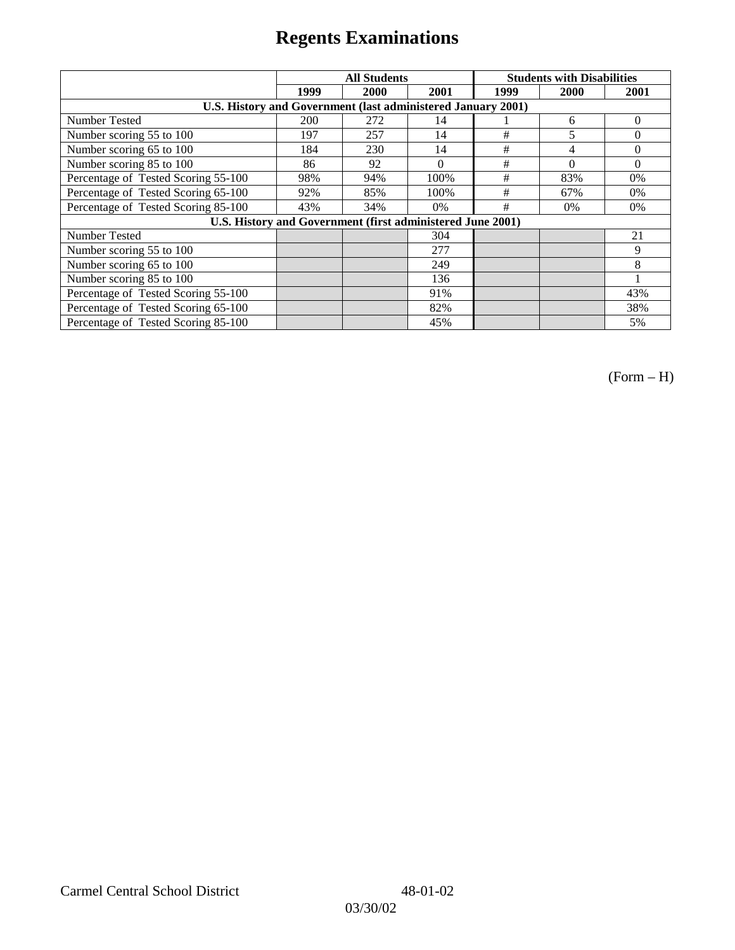|                                                              |            | <b>All Students</b>                                        |          | <b>Students with Disabilities</b> |          |          |
|--------------------------------------------------------------|------------|------------------------------------------------------------|----------|-----------------------------------|----------|----------|
|                                                              | 1999       | 2000                                                       | 2001     | 1999                              | 2000     | 2001     |
| U.S. History and Government (last administered January 2001) |            |                                                            |          |                                   |          |          |
| Number Tested                                                | <b>200</b> | 272                                                        | 14       |                                   | 6        | $\Omega$ |
| Number scoring 55 to 100                                     | 197        | 257                                                        | 14       | #                                 | 5        | $\theta$ |
| Number scoring 65 to 100                                     | 184        | 230                                                        | 14       | $\#$                              | 4        | $\Omega$ |
| Number scoring 85 to 100                                     | 86         | 92                                                         | $\Omega$ | #                                 | $\theta$ | $\Omega$ |
| Percentage of Tested Scoring 55-100                          | 98%        | 94%                                                        | 100%     | #                                 | 83%      | $0\%$    |
| Percentage of Tested Scoring 65-100                          | 92%        | 85%                                                        | 100%     | #                                 | 67%      | $0\%$    |
| Percentage of Tested Scoring 85-100                          | 43%        | 34%                                                        | 0%       | #                                 | $0\%$    | $0\%$    |
|                                                              |            | U.S. History and Government (first administered June 2001) |          |                                   |          |          |
| Number Tested                                                |            |                                                            | 304      |                                   |          | 21       |
| Number scoring 55 to 100                                     |            |                                                            | 277      |                                   |          | 9        |
| Number scoring 65 to 100                                     |            |                                                            | 249      |                                   |          | 8        |
| Number scoring 85 to 100                                     |            |                                                            | 136      |                                   |          |          |
| Percentage of Tested Scoring 55-100                          |            |                                                            | 91%      |                                   |          | 43%      |
| Percentage of Tested Scoring 65-100                          |            |                                                            | 82%      |                                   |          | 38%      |
| Percentage of Tested Scoring 85-100                          |            |                                                            | 45%      |                                   |          | 5%       |

(Form – H)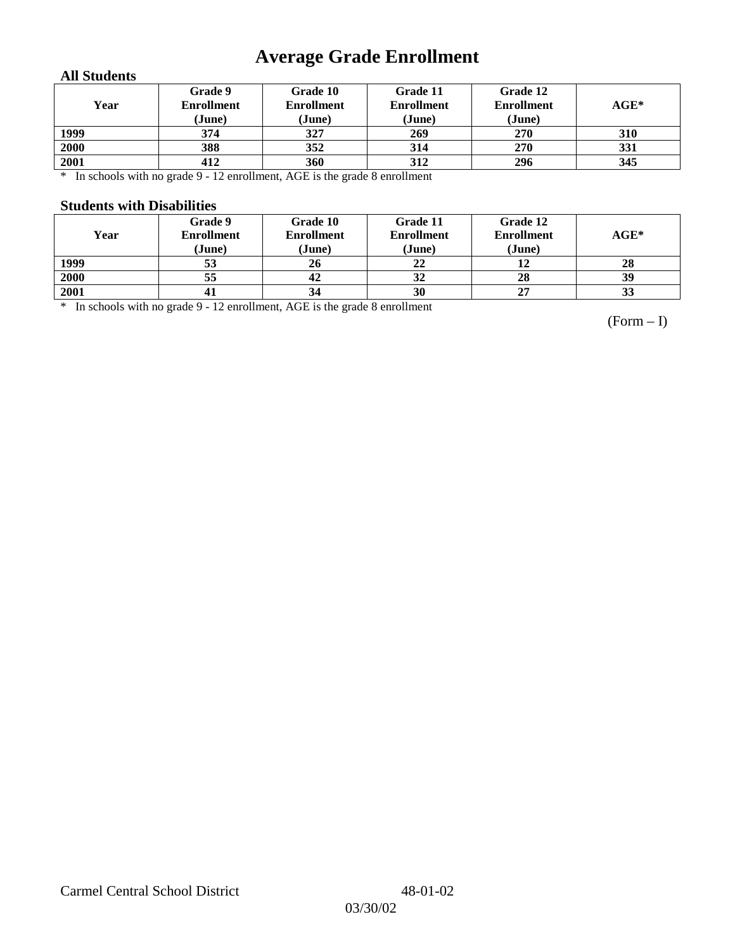# **Average Grade Enrollment**

### **All Students**

| Year | Grade 9<br><b>Enrollment</b><br>(June) | Grade 10<br><b>Enrollment</b><br>(June) | Grade 11<br><b>Enrollment</b><br>(June) | Grade 12<br><b>Enrollment</b><br>(June) | $AGE^*$ |
|------|----------------------------------------|-----------------------------------------|-----------------------------------------|-----------------------------------------|---------|
| 1999 | 374                                    | 327                                     | 269                                     | 270                                     | 310     |
| 2000 | 388                                    | 352                                     | 314                                     | 270                                     | 331     |
| 2001 | 412                                    | 360                                     | 312                                     | 296                                     | 345     |

\* In schools with no grade 9 - 12 enrollment, AGE is the grade 8 enrollment

#### **Students with Disabilities**

| Year | Grade 9<br><b>Enrollment</b><br>(June) | Grade 10<br><b>Enrollment</b><br>(June) | Grade 11<br><b>Enrollment</b><br>(June) | Grade 12<br><b>Enrollment</b><br>(June) | $AGE^*$ |
|------|----------------------------------------|-----------------------------------------|-----------------------------------------|-----------------------------------------|---------|
| 1999 | 53                                     | 26                                      | 22                                      |                                         | 28      |
| 2000 | 55                                     | 42                                      | 32                                      | 28                                      | 39      |
| 2001 | 41                                     | 34                                      | 30                                      | 27                                      | 33      |

\* In schools with no grade 9 - 12 enrollment, AGE is the grade 8 enrollment

(Form – I)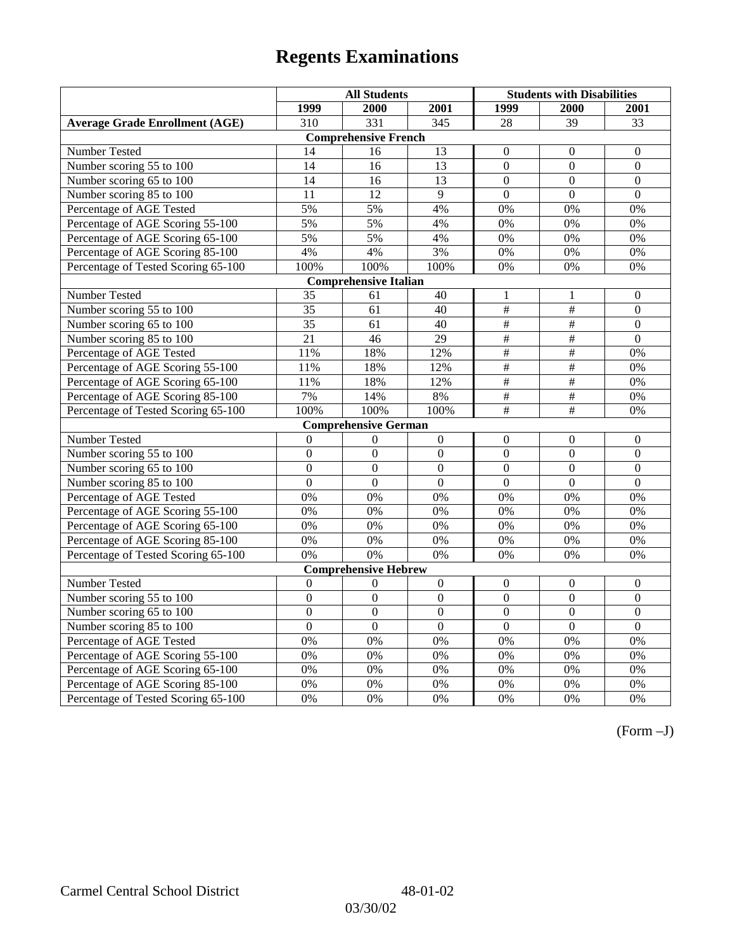|                                       | <b>All Students</b> |                             |                  | <b>Students with Disabilities</b> |                           |                  |  |  |
|---------------------------------------|---------------------|-----------------------------|------------------|-----------------------------------|---------------------------|------------------|--|--|
|                                       | 1999                | 2000                        | 2001             | 1999                              | 2000                      | 2001             |  |  |
| <b>Average Grade Enrollment (AGE)</b> | 310                 | 331                         | $\overline{345}$ | 28                                | $\overline{39}$           | $\overline{33}$  |  |  |
|                                       |                     | <b>Comprehensive French</b> |                  |                                   |                           |                  |  |  |
| <b>Number Tested</b>                  | 14                  | 16                          | 13               | $\mathbf{0}$                      | $\theta$                  | $\mathbf{0}$     |  |  |
| Number scoring 55 to 100              | $\overline{14}$     | 16                          | $\overline{13}$  | $\overline{0}$                    | $\overline{0}$            | $\overline{0}$   |  |  |
| Number scoring 65 to 100              | 14                  | 16                          | 13               | $\mathbf{0}$                      | $\mathbf{0}$              | $\mathbf{0}$     |  |  |
| Number scoring 85 to 100              | $\overline{11}$     | $\overline{12}$             | $\overline{9}$   | $\mathbf{0}$                      | $\mathbf{0}$              | $\mathbf{0}$     |  |  |
| Percentage of AGE Tested              | 5%                  | 5%                          | 4%               | 0%                                | 0%                        | 0%               |  |  |
| Percentage of AGE Scoring 55-100      | 5%                  | 5%                          | 4%               | 0%                                | 0%                        | 0%               |  |  |
| Percentage of AGE Scoring 65-100      | 5%                  | 5%                          | 4%               | 0%                                | 0%                        | 0%               |  |  |
| Percentage of AGE Scoring 85-100      | 4%                  | 4%                          | 3%               | $0\%$                             | $0\%$                     | $0\%$            |  |  |
| Percentage of Tested Scoring 65-100   | 100%                | 100%                        | 100%             | 0%                                | 0%                        | 0%               |  |  |
| <b>Comprehensive Italian</b>          |                     |                             |                  |                                   |                           |                  |  |  |
| Number Tested                         | 35                  | 61                          | 40               | 1                                 | 1                         | $\boldsymbol{0}$ |  |  |
| Number scoring 55 to 100              | 35                  | 61                          | 40               | $\overline{\overline{t}}$         | $\#$                      | $\boldsymbol{0}$ |  |  |
| Number scoring 65 to 100              | 35                  | 61                          | 40               | $\overline{\overline{H}}$         | $\overline{\overline{t}}$ | $\mathbf{0}$     |  |  |
| Number scoring 85 to 100              | $\overline{21}$     | $\overline{46}$             | $\overline{29}$  | $\overline{\overline{t}}$         | $\overline{\overline{t}}$ | $\overline{0}$   |  |  |
| Percentage of AGE Tested              | 11%                 | 18%                         | 12%              | $\frac{1}{2}$                     | $\overline{\#}$           | 0%               |  |  |
| Percentage of AGE Scoring 55-100      | 11%                 | 18%                         | 12%              | $\overline{\#}$                   | #                         | 0%               |  |  |
| Percentage of AGE Scoring 65-100      | 11%                 | 18%                         | 12%              | $\frac{1}{2}$                     | $\overline{\#}$           | 0%               |  |  |
| Percentage of AGE Scoring 85-100      | 7%                  | 14%                         | 8%               | $\#$                              | $\#$                      | 0%               |  |  |
| Percentage of Tested Scoring 65-100   | 100%                | 100%                        | 100%             | #                                 | $\#$                      | 0%               |  |  |
|                                       |                     | <b>Comprehensive German</b> |                  |                                   |                           |                  |  |  |
| Number Tested                         | $\overline{0}$      | $\mathbf{0}$                | $\boldsymbol{0}$ | $\mathbf{0}$                      | $\mathbf{0}$              | $\boldsymbol{0}$ |  |  |
| Number scoring 55 to 100              | $\mathbf{0}$        | $\mathbf{0}$                | $\overline{0}$   | $\overline{0}$                    | $\overline{0}$            | $\mathbf{0}$     |  |  |
| Number scoring 65 to 100              | $\overline{0}$      | $\overline{0}$              | $\overline{0}$   | $\overline{0}$                    | $\overline{0}$            | $\overline{0}$   |  |  |
| Number scoring 85 to 100              | $\overline{0}$      | $\overline{0}$              | $\overline{0}$   | $\overline{0}$                    | $\overline{0}$            | $\overline{0}$   |  |  |
| Percentage of AGE Tested              | 0%                  | 0%                          | 0%               | 0%                                | 0%                        | 0%               |  |  |
| Percentage of AGE Scoring 55-100      | 0%                  | 0%                          | 0%               | 0%                                | 0%                        | 0%               |  |  |
| Percentage of AGE Scoring 65-100      | 0%                  | 0%                          | 0%               | 0%                                | 0%                        | 0%               |  |  |
| Percentage of AGE Scoring 85-100      | 0%                  | 0%                          | 0%               | 0%                                | 0%                        | 0%               |  |  |
| Percentage of Tested Scoring 65-100   | 0%                  | 0%                          | $0\%$            | 0%                                | 0%                        | 0%               |  |  |
|                                       |                     | <b>Comprehensive Hebrew</b> |                  |                                   |                           |                  |  |  |
| Number Tested                         | $\boldsymbol{0}$    | $\boldsymbol{0}$            | $\boldsymbol{0}$ | $\mathbf{0}$                      | $\mathbf{0}$              | $\boldsymbol{0}$ |  |  |
| Number scoring 55 to 100              | $\overline{0}$      | $\overline{0}$              | $\overline{0}$   | $\overline{0}$                    | $\overline{0}$            | $\overline{0}$   |  |  |
| Number scoring 65 to 100              | $\mathbf{0}$        | $\mathbf{0}$                | $\Omega$         | $\mathbf{0}$                      | $\boldsymbol{0}$          | $\boldsymbol{0}$ |  |  |
| Number scoring 85 to 100              | $\overline{0}$      | $\overline{0}$              | $\overline{0}$   | $\overline{0}$                    | $\overline{0}$            | $\overline{0}$   |  |  |
| Percentage of AGE Tested              | $\overline{0\%}$    | 0%                          | 0%               | 0%                                | 0%                        | 0%               |  |  |
| Percentage of AGE Scoring 55-100      | 0%                  | 0%                          | 0%               | 0%                                | 0%                        | 0%               |  |  |
| Percentage of AGE Scoring 65-100      | 0%                  | 0%                          | 0%               | 0%                                | 0%                        | 0%               |  |  |
| Percentage of AGE Scoring 85-100      | 0%                  | 0%                          | 0%               | $0\%$                             | 0%                        | 0%               |  |  |
| Percentage of Tested Scoring 65-100   | 0%                  | 0%                          | 0%               | 0%                                | 0%                        | 0%               |  |  |

(Form –J)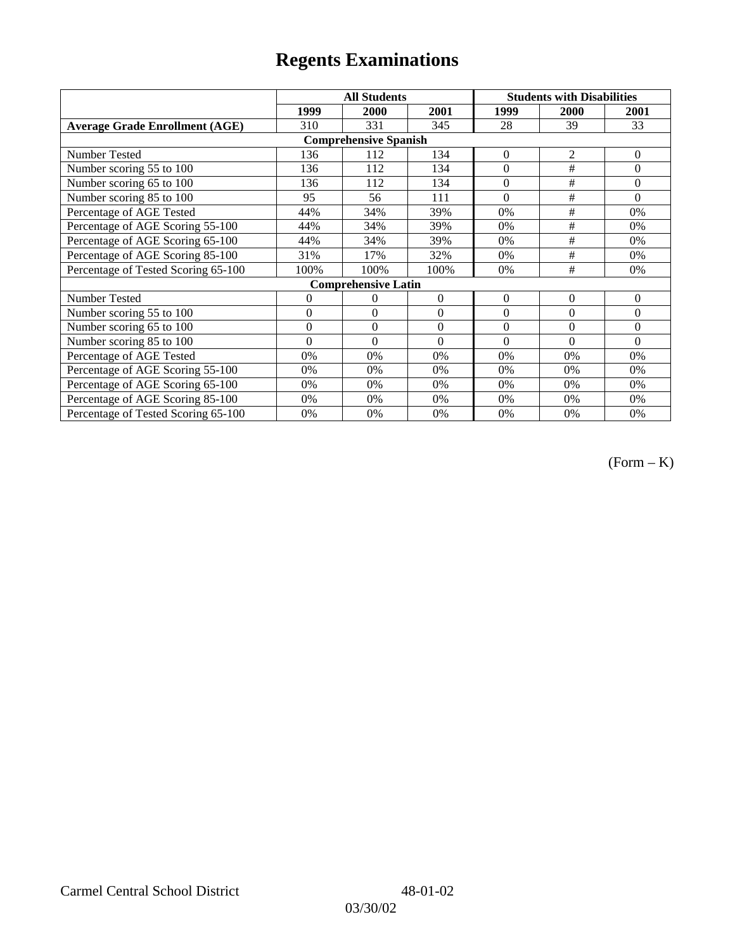|                                       |                | <b>All Students</b>        |          | <b>Students with Disabilities</b> |                |              |  |  |
|---------------------------------------|----------------|----------------------------|----------|-----------------------------------|----------------|--------------|--|--|
|                                       | 1999           | 2000                       | 2001     | 1999                              | 2000           | 2001         |  |  |
| <b>Average Grade Enrollment (AGE)</b> | 310            | 331                        | 345      | 28                                | 39             | 33           |  |  |
| <b>Comprehensive Spanish</b>          |                |                            |          |                                   |                |              |  |  |
| Number Tested                         | 136            | 112                        | 134      | $\overline{0}$                    | $\overline{2}$ | $\Omega$     |  |  |
| Number scoring 55 to 100              | 136            | 112                        | 134      | $\overline{0}$                    | #              | $\mathbf{0}$ |  |  |
| Number scoring 65 to 100              | 136            | 112                        | 134      | $\overline{0}$                    | #              | $\Omega$     |  |  |
| Number scoring 85 to 100              | 95             | 56                         | 111      | $\theta$                          | #              | $\Omega$     |  |  |
| Percentage of AGE Tested              | 44%            | 34%                        | 39%      | 0%                                | #              | 0%           |  |  |
| Percentage of AGE Scoring 55-100      | 44%            | 34%                        | 39%      | 0%                                | $\#$           | 0%           |  |  |
| Percentage of AGE Scoring 65-100      | 44%            | 34%                        | 39%      | 0%                                | #              | 0%           |  |  |
| Percentage of AGE Scoring 85-100      | 31%            | 17%                        | 32%      | 0%                                | #              | 0%           |  |  |
| Percentage of Tested Scoring 65-100   | 100%           | 100%                       | 100%     | 0%                                | #              | 0%           |  |  |
|                                       |                | <b>Comprehensive Latin</b> |          |                                   |                |              |  |  |
| Number Tested                         | 0              | 0                          | $\Omega$ | $\theta$                          | $\theta$       | $\mathbf{0}$ |  |  |
| Number scoring 55 to 100              | $\overline{0}$ | $\theta$                   | $\Omega$ | $\theta$                          | $\theta$       | $\Omega$     |  |  |
| Number scoring $65$ to $100$          | $\mathbf{0}$   | $\theta$                   | $\Omega$ | $\theta$                          | $\theta$       | $\Omega$     |  |  |
| Number scoring 85 to 100              | $\theta$       | $\theta$                   | $\Omega$ | $\Omega$                          | $\Omega$       | $\Omega$     |  |  |
| Percentage of AGE Tested              | 0%             | 0%                         | 0%       | 0%                                | 0%             | 0%           |  |  |
| Percentage of AGE Scoring 55-100      | 0%             | 0%                         | 0%       | 0%                                | 0%             | 0%           |  |  |
| Percentage of AGE Scoring 65-100      | 0%             | 0%                         | 0%       | 0%                                | 0%             | 0%           |  |  |
| Percentage of AGE Scoring 85-100      | 0%             | 0%                         | 0%       | 0%                                | $0\%$          | $0\%$        |  |  |
| Percentage of Tested Scoring 65-100   | 0%             | 0%                         | 0%       | 0%                                | 0%             | 0%           |  |  |

(Form – K)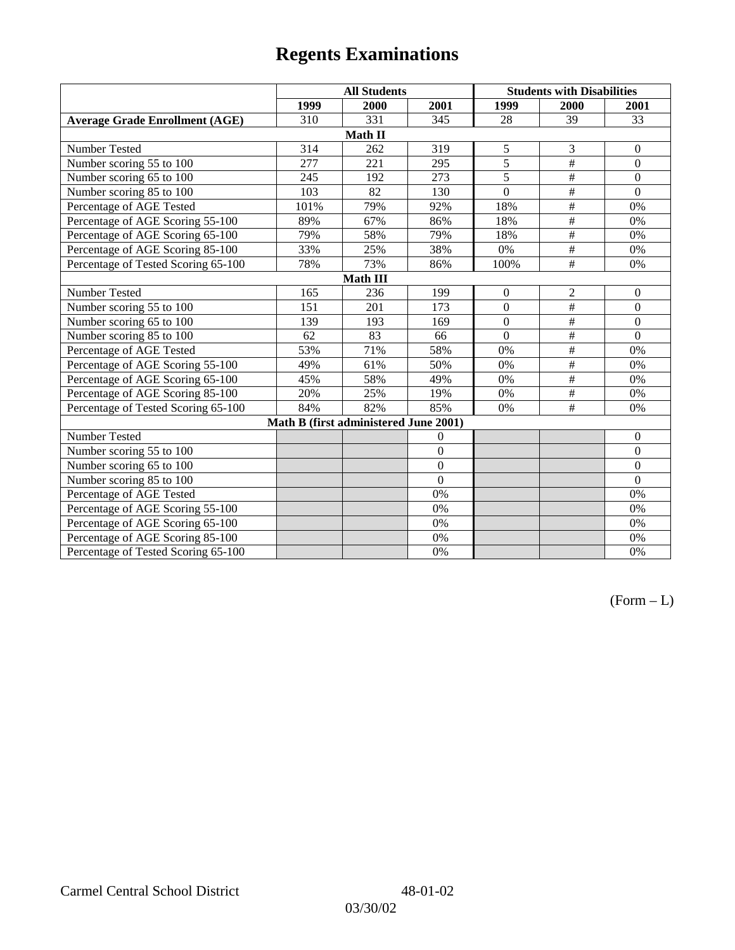|                                       | <b>All Students</b>                   |         |                | <b>Students with Disabilities</b> |                           |                  |  |  |
|---------------------------------------|---------------------------------------|---------|----------------|-----------------------------------|---------------------------|------------------|--|--|
|                                       | 1999                                  | 2000    | 2001           | 1999                              | 2000                      | 2001             |  |  |
| <b>Average Grade Enrollment (AGE)</b> | 310                                   | 331     | 345            | 28                                | 39                        | 33               |  |  |
|                                       |                                       | Math II |                |                                   |                           |                  |  |  |
| Number Tested                         | 314                                   | 262     | 319            | 5                                 | 3                         | $\mathbf{0}$     |  |  |
| Number scoring 55 to 100              | $\overline{277}$                      | 221     | 295            | $\overline{5}$                    | #                         | $\mathbf{0}$     |  |  |
| Number scoring 65 to 100              | 245                                   | 192     | 273            | 5                                 | $\overline{+}$            | $\boldsymbol{0}$ |  |  |
| Number scoring 85 to 100              | 103                                   | 82      | 130            | $\overline{0}$                    | #                         | $\mathbf{0}$     |  |  |
| Percentage of AGE Tested              | 101%                                  | 79%     | 92%            | 18%                               | $\overline{\#}$           | 0%               |  |  |
| Percentage of AGE Scoring 55-100      | 89%                                   | 67%     | 86%            | 18%                               | $\overline{\overline{}}$  | 0%               |  |  |
| Percentage of AGE Scoring 65-100      | 79%                                   | 58%     | 79%            | 18%                               | $\overline{\overline{t}}$ | 0%               |  |  |
| Percentage of AGE Scoring 85-100      | 33%                                   | 25%     | 38%            | 0%                                | #                         | 0%               |  |  |
| Percentage of Tested Scoring 65-100   | 78%                                   | 73%     | 86%            | 100%                              | $\overline{+}$            | 0%               |  |  |
| <b>Math III</b>                       |                                       |         |                |                                   |                           |                  |  |  |
| Number Tested                         | 165                                   | 236     | 199            | $\overline{0}$                    | $\mathbf{2}$              | $\mathbf{0}$     |  |  |
| Number scoring 55 to 100              | 151                                   | 201     | 173            | $\overline{0}$                    | #                         | $\mathbf{0}$     |  |  |
| Number scoring 65 to 100              | 139                                   | 193     | 169            | $\theta$                          | $\#$                      | $\mathbf{0}$     |  |  |
| Number scoring 85 to 100              | 62                                    | 83      | 66             | $\Omega$                          | $\#$                      | $\Omega$         |  |  |
| Percentage of AGE Tested              | 53%                                   | 71%     | 58%            | 0%                                | $\#$                      | 0%               |  |  |
| Percentage of AGE Scoring 55-100      | 49%                                   | 61%     | 50%            | 0%                                | $\overline{+}$            | 0%               |  |  |
| Percentage of AGE Scoring 65-100      | 45%                                   | 58%     | 49%            | 0%                                | $\overline{\#}$           | 0%               |  |  |
| Percentage of AGE Scoring 85-100      | 20%                                   | 25%     | 19%            | 0%                                | $\overline{+}$            | 0%               |  |  |
| Percentage of Tested Scoring 65-100   | 84%                                   | 82%     | 85%            | 0%                                | #                         | 0%               |  |  |
|                                       | Math B (first administered June 2001) |         |                |                                   |                           |                  |  |  |
| Number Tested                         |                                       |         | $\theta$       |                                   |                           | $\theta$         |  |  |
| Number scoring 55 to 100              |                                       |         | $\overline{0}$ |                                   |                           | $\Omega$         |  |  |
| Number scoring 65 to 100              |                                       |         | $\overline{0}$ |                                   |                           | $\mathbf{0}$     |  |  |
| Number scoring 85 to 100              |                                       |         | $\theta$       |                                   |                           | $\mathbf{0}$     |  |  |
| Percentage of AGE Tested              |                                       |         | 0%             |                                   |                           | 0%               |  |  |
| Percentage of AGE Scoring 55-100      |                                       |         | 0%             |                                   |                           | 0%               |  |  |
| Percentage of AGE Scoring 65-100      |                                       |         | 0%             |                                   |                           | 0%               |  |  |
| Percentage of AGE Scoring 85-100      |                                       |         | 0%             |                                   |                           | 0%               |  |  |
| Percentage of Tested Scoring 65-100   |                                       |         | 0%             |                                   |                           | 0%               |  |  |

 $(Form - L)$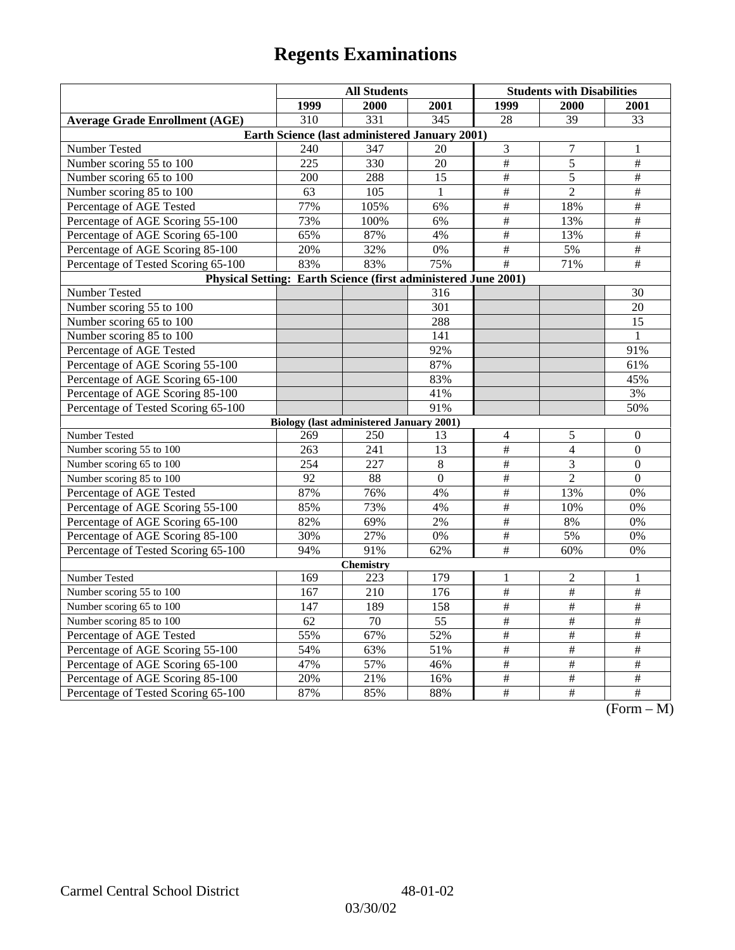|                                                                | <b>All Students</b> |                                                 |                 | <b>Students with Disabilities</b> |                 |                                                                           |  |  |
|----------------------------------------------------------------|---------------------|-------------------------------------------------|-----------------|-----------------------------------|-----------------|---------------------------------------------------------------------------|--|--|
|                                                                | 1999                | 2000                                            | 2001            | 1999                              | 2000            | 2001                                                                      |  |  |
| <b>Average Grade Enrollment (AGE)</b>                          | 310                 | $\overline{331}$                                | $\frac{1}{345}$ | 28                                | $\overline{39}$ | 33                                                                        |  |  |
| Earth Science (last administered January 2001)                 |                     |                                                 |                 |                                   |                 |                                                                           |  |  |
| Number Tested                                                  | 240                 | 347                                             | 20              | $\mathfrak{Z}$                    | 7               | 1                                                                         |  |  |
| Number scoring 55 to 100                                       | 225                 | 330                                             | 20              | $\overline{\#}$                   | 5               | $\overline{\#}$                                                           |  |  |
| Number scoring 65 to 100                                       | 200                 | 288                                             | 15              | $\overline{\#}$                   | 5               | $\overline{\ddot{}}$                                                      |  |  |
| Number scoring 85 to 100                                       | 63                  | 105                                             | $\mathbf{1}$    | $\overline{\#}$                   | $\overline{2}$  | $\#$                                                                      |  |  |
| Percentage of AGE Tested                                       | 77%                 | 105%                                            | 6%              | $\#$                              | 18%             | $\overline{\#}$                                                           |  |  |
| Percentage of AGE Scoring 55-100                               | 73%                 | 100%                                            | 6%              | $\overline{\#}$                   | 13%             | $\overline{\#}$                                                           |  |  |
| Percentage of AGE Scoring 65-100                               | 65%                 | 87%                                             | 4%              | $\overline{\#}$                   | 13%             | $\overline{\#}$                                                           |  |  |
| Percentage of AGE Scoring 85-100                               | 20%                 | 32%                                             | $0\%$           | $\overline{\#}$                   | 5%              | $\overline{\#}$                                                           |  |  |
| Percentage of Tested Scoring 65-100                            | 83%                 | 83%                                             | 75%             | $\#$                              | 71%             | $\#$                                                                      |  |  |
| Physical Setting: Earth Science (first administered June 2001) |                     |                                                 |                 |                                   |                 |                                                                           |  |  |
| Number Tested                                                  |                     |                                                 | 316             |                                   |                 | 30                                                                        |  |  |
| Number scoring 55 to 100                                       |                     |                                                 | 301             |                                   |                 | 20                                                                        |  |  |
| Number scoring 65 to 100                                       |                     |                                                 | 288             |                                   |                 | 15                                                                        |  |  |
| Number scoring 85 to 100                                       |                     |                                                 | 141             |                                   |                 | $\mathbf{1}$                                                              |  |  |
| Percentage of AGE Tested                                       |                     |                                                 | 92%             |                                   |                 | 91%                                                                       |  |  |
| Percentage of AGE Scoring 55-100                               |                     |                                                 | 87%             |                                   |                 | 61%                                                                       |  |  |
| Percentage of AGE Scoring 65-100                               |                     |                                                 | 83%             |                                   |                 | 45%                                                                       |  |  |
| Percentage of AGE Scoring 85-100                               |                     |                                                 | 41%             |                                   |                 | 3%                                                                        |  |  |
| Percentage of Tested Scoring 65-100                            |                     |                                                 | 91%             |                                   |                 | 50%                                                                       |  |  |
|                                                                |                     | <b>Biology (last administered January 2001)</b> |                 |                                   |                 |                                                                           |  |  |
| Number Tested                                                  | 269                 | 250                                             | 13              | $\overline{\mathcal{A}}$          | 5               | $\boldsymbol{0}$                                                          |  |  |
| Number scoring 55 to 100                                       | 263                 | 241                                             | 13              | $\#$                              | $\overline{4}$  | $\mathbf{0}$                                                              |  |  |
| Number scoring 65 to 100                                       | 254                 | 227                                             | 8               | $\#$                              | 3               | $\theta$                                                                  |  |  |
| Number scoring 85 to 100                                       | 92                  | 88                                              | $\Omega$        | $\overline{\#}$                   | $\overline{2}$  | $\Omega$                                                                  |  |  |
| Percentage of AGE Tested                                       | 87%                 | 76%                                             | 4%              | $\overline{\#}$                   | 13%             | 0%                                                                        |  |  |
| Percentage of AGE Scoring 55-100                               | 85%                 | 73%                                             | 4%              | $\#$                              | 10%             | 0%                                                                        |  |  |
| Percentage of AGE Scoring 65-100                               | 82%                 | 69%                                             | 2%              | $\#$                              | 8%              | 0%                                                                        |  |  |
| Percentage of AGE Scoring 85-100                               | 30%                 | 27%                                             | 0%              | $\overline{\#}$                   | 5%              | 0%                                                                        |  |  |
| Percentage of Tested Scoring 65-100                            | 94%                 | 91%                                             | 62%             | #                                 | 60%             | 0%                                                                        |  |  |
| <b>Chemistry</b>                                               |                     |                                                 |                 |                                   |                 |                                                                           |  |  |
| Number Tested                                                  | 169                 | 223                                             | 179             | $\mathbf{1}$                      | $\mathbf{2}$    | 1                                                                         |  |  |
| Number scoring 55 to 100                                       | 167                 | 210                                             | 176             | $\overline{\#}$                   | $\overline{\#}$ | $\overline{\#}$                                                           |  |  |
| Number scoring 65 to 100                                       | 147                 | 189                                             | 158             | $\frac{1}{2}$                     | $\frac{1}{2}$   | $\frac{1}{2}$                                                             |  |  |
| Number scoring 85 to 100                                       | 62                  | 70                                              | 55              | $\#$                              | $\#$            | $\#$                                                                      |  |  |
| Percentage of AGE Tested                                       | 55%                 | 67%                                             | 52%             | $\#$                              | $\#$            | $\#$                                                                      |  |  |
| Percentage of AGE Scoring 55-100                               | 54%                 | 63%                                             | 51%             | $\#$                              | #               | #                                                                         |  |  |
| Percentage of AGE Scoring 65-100                               | 47%                 | 57%                                             | 46%             | $\overline{\#}$                   | $\overline{\#}$ | $\overline{\#}$                                                           |  |  |
| Percentage of AGE Scoring 85-100                               | 20%                 | 21%                                             | 16%             | $\frac{1}{2}$                     | $\frac{1}{2}$   | $\overline{\#}$                                                           |  |  |
| Percentage of Tested Scoring 65-100                            | 87%                 | 85%                                             | 88%             | $\#$                              | $\overline{+}$  | $\overline{+}$<br>$\Gamma$ <sub><math>\alpha</math></sub><br>$\mathbf{M}$ |  |  |

(Form – M)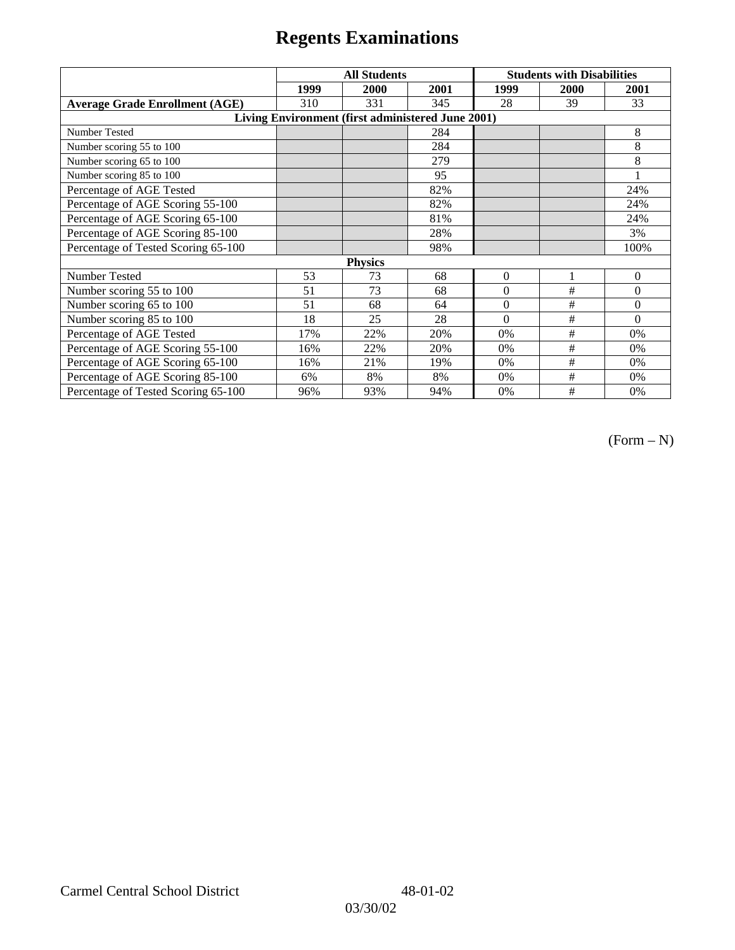|                                                   | <b>All Students</b> |      |      | <b>Students with Disabilities</b> |      |          |  |  |
|---------------------------------------------------|---------------------|------|------|-----------------------------------|------|----------|--|--|
|                                                   | 1999                | 2000 | 2001 | 1999                              | 2000 | 2001     |  |  |
| <b>Average Grade Enrollment (AGE)</b>             | 310                 | 331  | 345  | 28                                | 39   | 33       |  |  |
| Living Environment (first administered June 2001) |                     |      |      |                                   |      |          |  |  |
| Number Tested                                     |                     |      | 284  |                                   |      | 8        |  |  |
| Number scoring 55 to 100                          |                     |      | 284  |                                   |      | 8        |  |  |
| Number scoring 65 to 100                          |                     |      | 279  |                                   |      | 8        |  |  |
| Number scoring 85 to 100                          |                     |      | 95   |                                   |      |          |  |  |
| Percentage of AGE Tested                          |                     |      | 82%  |                                   |      | 24%      |  |  |
| Percentage of AGE Scoring 55-100                  |                     |      | 82%  |                                   |      | 24%      |  |  |
| Percentage of AGE Scoring 65-100                  |                     |      | 81%  |                                   |      | 24%      |  |  |
| Percentage of AGE Scoring 85-100                  |                     |      | 28%  |                                   |      | 3%       |  |  |
| Percentage of Tested Scoring 65-100               |                     |      | 98%  |                                   |      | 100%     |  |  |
| <b>Physics</b>                                    |                     |      |      |                                   |      |          |  |  |
| Number Tested                                     | 53                  | 73   | 68   | $\mathbf{0}$                      | 1    | $\theta$ |  |  |
| Number scoring 55 to 100                          | 51                  | 73   | 68   | $\Omega$                          | #    | $\theta$ |  |  |
| Number scoring 65 to 100                          | 51                  | 68   | 64   | $\Omega$                          | #    | $\theta$ |  |  |
| Number scoring 85 to 100                          | 18                  | 25   | 28   | $\Omega$                          | #    | $\Omega$ |  |  |
| Percentage of AGE Tested                          | 17%                 | 22%  | 20%  | 0%                                | #    | 0%       |  |  |
| Percentage of AGE Scoring 55-100                  | 16%                 | 22%  | 20%  | 0%                                | #    | 0%       |  |  |
| Percentage of AGE Scoring 65-100                  | 16%                 | 21%  | 19%  | 0%                                | #    | 0%       |  |  |
| Percentage of AGE Scoring 85-100                  | 6%                  | 8%   | 8%   | 0%                                | #    | 0%       |  |  |
| Percentage of Tested Scoring 65-100               | 96%                 | 93%  | 94%  | 0%                                | #    | 0%       |  |  |

 $(Form - N)$